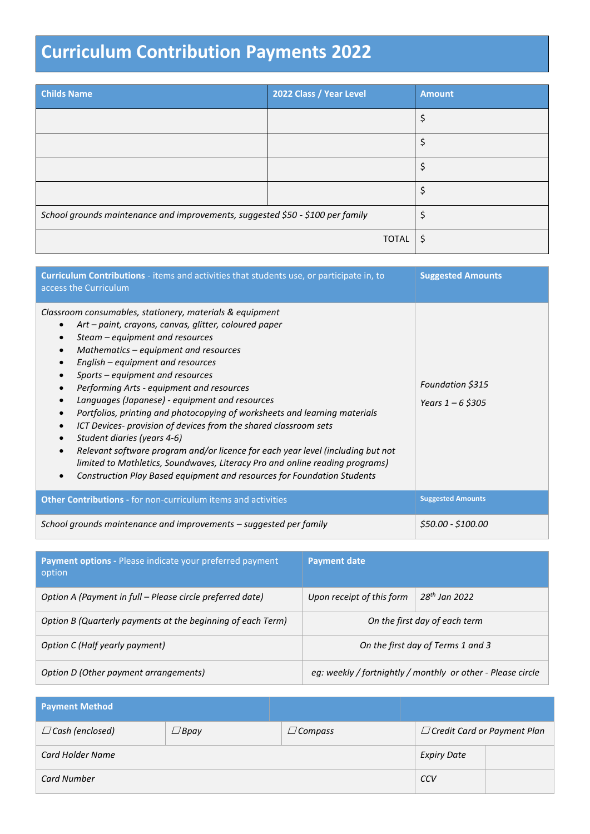## **Curriculum Contribution Payments 2022**

| <b>Childs Name</b>                                                             | 2022 Class / Year Level | <b>Amount</b> |
|--------------------------------------------------------------------------------|-------------------------|---------------|
|                                                                                |                         | \$            |
|                                                                                |                         | \$            |
|                                                                                |                         | \$            |
|                                                                                |                         | \$            |
| School grounds maintenance and improvements, suggested \$50 - \$100 per family |                         | \$            |
|                                                                                | <b>TOTAL</b>            | \$            |

| Curriculum Contributions - items and activities that students use, or participate in, to<br>access the Curriculum                                                                                                                                                                                                                                                                                                                                                                                                                                                                                                                                                                                                                                                                                                                                                                                            | <b>Suggested Amounts</b>                |
|--------------------------------------------------------------------------------------------------------------------------------------------------------------------------------------------------------------------------------------------------------------------------------------------------------------------------------------------------------------------------------------------------------------------------------------------------------------------------------------------------------------------------------------------------------------------------------------------------------------------------------------------------------------------------------------------------------------------------------------------------------------------------------------------------------------------------------------------------------------------------------------------------------------|-----------------------------------------|
| Classroom consumables, stationery, materials & equipment<br>Art – paint, crayons, canvas, glitter, coloured paper<br>$\bullet$<br>Steam – equipment and resources<br>$\bullet$<br>Mathematics – equipment and resources<br>$\bullet$<br>English – equipment and resources<br>$\bullet$<br>Sports - equipment and resources<br>$\bullet$<br>Performing Arts - equipment and resources<br>Languages (Japanese) - equipment and resources<br>$\bullet$<br>Portfolios, printing and photocopying of worksheets and learning materials<br>ICT Devices- provision of devices from the shared classroom sets<br>$\bullet$<br>Student diaries (years 4-6)<br>Relevant software program and/or licence for each year level (including but not<br>$\bullet$<br>limited to Mathletics, Soundwaves, Literacy Pro and online reading programs)<br>Construction Play Based equipment and resources for Foundation Students | Foundation \$315<br>Years $1 - 6$ \$305 |
| <b>Other Contributions - for non-curriculum items and activities</b>                                                                                                                                                                                                                                                                                                                                                                                                                                                                                                                                                                                                                                                                                                                                                                                                                                         | <b>Suggested Amounts</b>                |
| School grounds maintenance and improvements – suggested per family                                                                                                                                                                                                                                                                                                                                                                                                                                                                                                                                                                                                                                                                                                                                                                                                                                           | \$50.00 - \$100.00                      |

| <b>Payment options - Please indicate your preferred payment</b><br>option | <b>Payment date</b>       |                                                             |
|---------------------------------------------------------------------------|---------------------------|-------------------------------------------------------------|
| Option A (Payment in full - Please circle preferred date)                 | Upon receipt of this form | $28th$ Jan 2022                                             |
| Option B (Quarterly payments at the beginning of each Term)               |                           | On the first day of each term                               |
| Option C (Half yearly payment)                                            |                           | On the first day of Terms 1 and 3                           |
| Option D (Other payment arrangements)                                     |                           | eg: weekly / fortnightly / monthly or other - Please circle |

| <b>Payment Method</b>  |             |                    |                                    |
|------------------------|-------------|--------------------|------------------------------------|
| $\Box$ Cash (enclosed) | $\Box$ Bpay | $\Box$ Compass     | $\Box$ Credit Card or Payment Plan |
| Card Holder Name       |             | <b>Expiry Date</b> |                                    |
| <b>Card Number</b>     |             |                    | CCV                                |